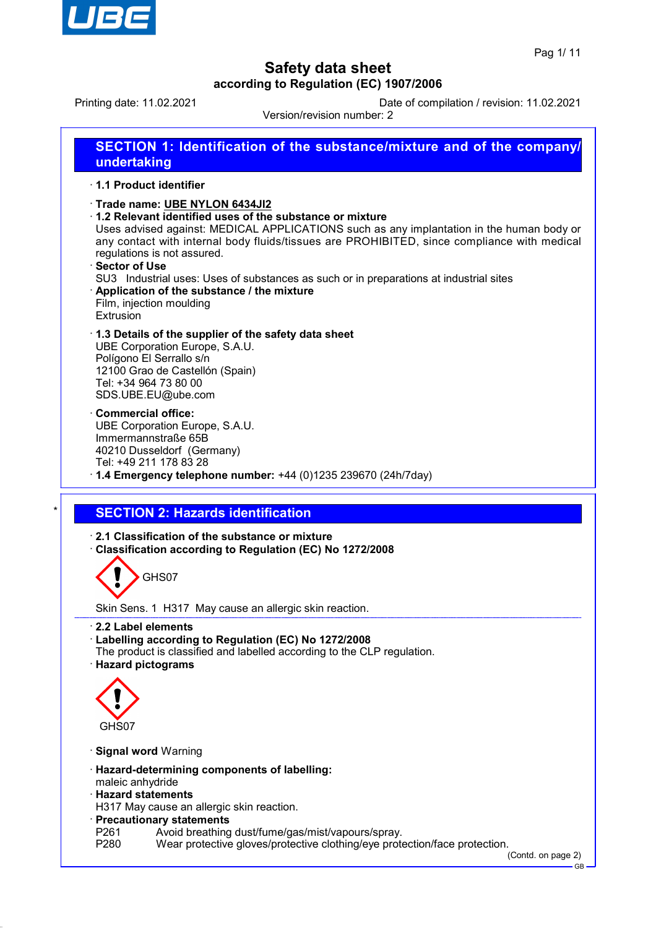

Printing date: 11.02.2021 Date of compilation / revision: 11.02.2021

Version/revision number: 2 **SECTION 1: Identification of the substance/mixture and of the company/ undertaking** · **1.1 Product identifier** · **Trade name: UBE NYLON 6434JI2** · **1.2 Relevant identified uses of the substance or mixture** Uses advised against: MEDICAL APPLICATIONS such as any implantation in the human body or any contact with internal body fluids/tissues are PROHIBITED, since compliance with medical regulations is not assured. · **Sector of Use** SU3 Industrial uses: Uses of substances as such or in preparations at industrial sites · **Application of the substance / the mixture** Film, injection moulding Extrusion · **1.3 Details of the supplier of the safety data sheet** UBE Corporation Europe, S.A.U. Polígono El Serrallo s/n 12100 Grao de Castellón (Spain) Tel: +34 964 73 80 00 SDS.UBE.EU@ube.com · **Commercial office:** UBE Corporation Europe, S.A.U. Immermannstraße 65B 40210 Dusseldorf (Germany) Tel: +49 211 178 83 28 · **1.4 Emergency telephone number:** +44 (0)1235 239670 (24h/7day) **SECTION 2: Hazards identification** · **2.1 Classification of the substance or mixture** · **Classification according to Regulation (EC) No 1272/2008** GHS07 Skin Sens. 1 H317 May cause an allergic skin reaction. · **2.2 Label elements** · **Labelling according to Regulation (EC) No 1272/2008** The product is classified and labelled according to the CLP regulation. · **Hazard pictograms** GHS07 · **Signal word** Warning · **Hazard-determining components of labelling:** maleic anhydride · **Hazard statements** H317 May cause an allergic skin reaction.

- · **Precautionary statements**
- P261 Avoid breathing dust/fume/gas/mist/vapours/spray.<br>P280 Wear protective gloves/protective clothing/eve prote
- Wear protective gloves/protective clothing/eye protection/face protection.

(Contd. on page 2)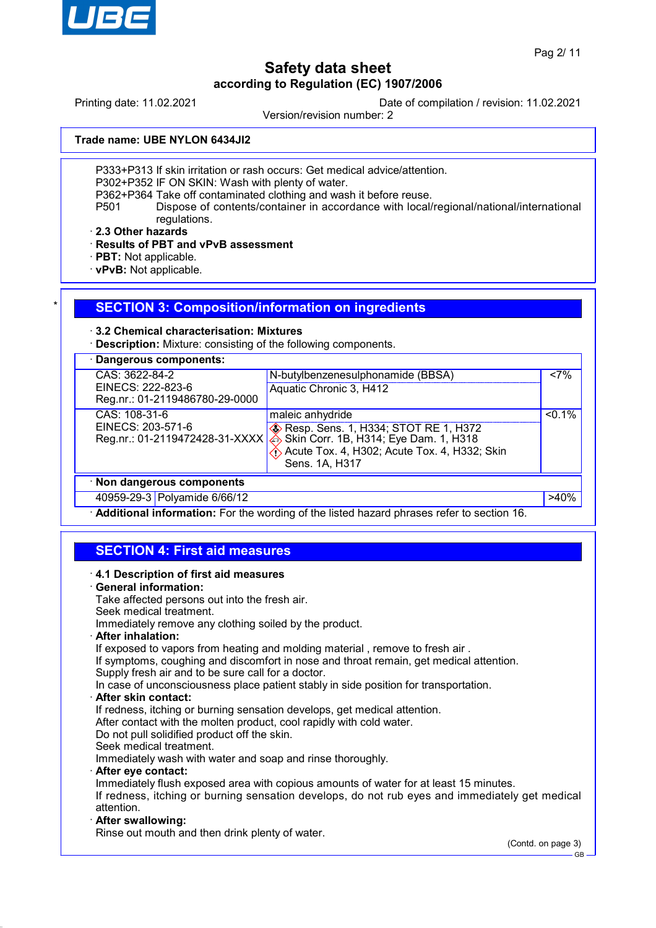

Printing date: 11.02.2021 Date of compilation / revision: 11.02.2021

Version/revision number: 2

**Trade name: UBE NYLON 6434JI2**

P333+P313 If skin irritation or rash occurs: Get medical advice/attention.

P302+P352 IF ON SKIN: Wash with plenty of water.

P362+P364 Take off contaminated clothing and wash it before reuse.<br>P501 Dispose of contents/container in accordance with local/

Dispose of contents/container in accordance with local/regional/national/international regulations.

· **2.3 Other hazards**

· **Results of PBT and vPvB assessment**

- · **PBT:** Not applicable.
- · **vPvB:** Not applicable.

## **SECTION 3: Composition/information on ingredients**

## · **3.2 Chemical characterisation: Mixtures**

· **Description:** Mixture: consisting of the following components.

| Dangerous components:                               |                                                              |           |
|-----------------------------------------------------|--------------------------------------------------------------|-----------|
| CAS: 3622-84-2                                      | N-butylbenzenesulphonamide (BBSA)                            | <7%       |
| EINECS: 222-823-6<br>Reg.nr.: 01-2119486780-29-0000 | Aquatic Chronic 3, H412                                      |           |
| CAS: 108-31-6                                       | maleic anhydride                                             | $< 0.1\%$ |
| EINECS: 203-571-6                                   | <b>EXAMPLE 25 PRESS</b> Resp. Sens. 1, H334; STOT RE 1, H372 |           |
| Reg.nr.: 01-2119472428-31-XXXX                      | Skin Corr. 1B, H314; Eye Dam. 1, H318                        |           |
|                                                     | Acute Tox. 4, H302; Acute Tox. 4, H332; Skin                 |           |
|                                                     | Sens. 1A, H317                                               |           |
| · Non dangerous components                          |                                                              |           |
| 40959-29-3 Polyamide 6/66/12                        |                                                              | $>40\%$   |

· **Additional information:** For the wording of the listed hazard phrases refer to section 16.

# **SECTION 4: First aid measures**

| 4.1 Description of first aid measures                                                          |                    |
|------------------------------------------------------------------------------------------------|--------------------|
| · General information:                                                                         |                    |
| Take affected persons out into the fresh air.                                                  |                    |
| Seek medical treatment.                                                                        |                    |
| Immediately remove any clothing soiled by the product.                                         |                    |
| · After inhalation:                                                                            |                    |
| If exposed to vapors from heating and molding material, remove to fresh air.                   |                    |
| If symptoms, coughing and discomfort in nose and throat remain, get medical attention.         |                    |
| Supply fresh air and to be sure call for a doctor.                                             |                    |
| In case of unconsciousness place patient stably in side position for transportation.           |                    |
| $\cdot$ After skin contact:                                                                    |                    |
| If redness, itching or burning sensation develops, get medical attention.                      |                    |
| After contact with the molten product, cool rapidly with cold water.                           |                    |
| Do not pull solidified product off the skin.                                                   |                    |
| Seek medical treatment.                                                                        |                    |
| Immediately wash with water and soap and rinse thoroughly.                                     |                    |
| · After eye contact:                                                                           |                    |
| Immediately flush exposed area with copious amounts of water for at least 15 minutes.          |                    |
| If redness, itching or burning sensation develops, do not rub eyes and immediately get medical |                    |
| attention.                                                                                     |                    |
| · After swallowing:                                                                            |                    |
| Rinse out mouth and then drink plenty of water.                                                |                    |
|                                                                                                | (Contd. on page 3) |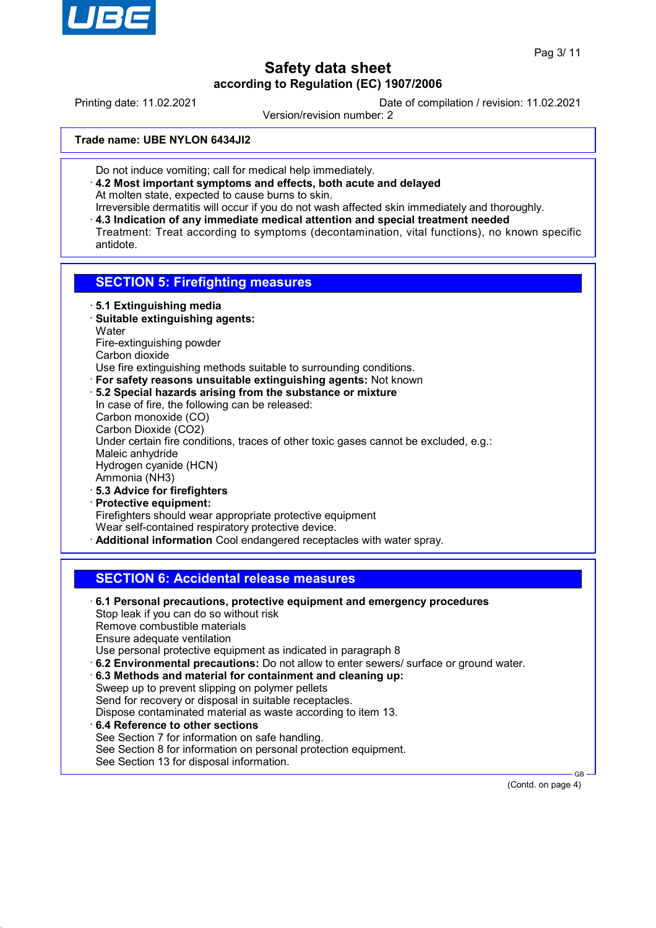

Printing date: 11.02.2021 Date of compilation / revision: 11.02.2021

Version/revision number: 2

**Trade name: UBE NYLON 6434JI2**

- Do not induce vomiting; call for medical help immediately.
- · **4.2 Most important symptoms and effects, both acute and delayed** At molten state, expected to cause burns to skin.
- Irreversible dermatitis will occur if you do not wash affected skin immediately and thoroughly. · **4.3 Indication of any immediate medical attention and special treatment needed**
- Treatment: Treat according to symptoms (decontamination, vital functions), no known specific antidote.

## **SECTION 5: Firefighting measures**

- · **5.1 Extinguishing media**
- · **Suitable extinguishing agents: Water** Fire-extinguishing powder Carbon dioxide
- Use fire extinguishing methods suitable to surrounding conditions.
- · **For safety reasons unsuitable extinguishing agents:** Not known
- · **5.2 Special hazards arising from the substance or mixture** In case of fire, the following can be released: Carbon monoxide (CO) Carbon Dioxide (CO2) Under certain fire conditions, traces of other toxic gases cannot be excluded, e.g.: Maleic anhydride Hydrogen cyanide (HCN) Ammonia (NH3) · **5.3 Advice for firefighters**
- · **Protective equipment:** Firefighters should wear appropriate protective equipment Wear self-contained respiratory protective device. · **Additional information** Cool endangered receptacles with water spray.

## **SECTION 6: Accidental release measures**

· **6.1 Personal precautions, protective equipment and emergency procedures** Stop leak if you can do so without risk Remove combustible materials Ensure adequate ventilation Use personal protective equipment as indicated in paragraph 8 · **6.2 Environmental precautions:** Do not allow to enter sewers/ surface or ground water. · **6.3 Methods and material for containment and cleaning up:** Sweep up to prevent slipping on polymer pellets Send for recovery or disposal in suitable receptacles. Dispose contaminated material as waste according to item 13. · **6.4 Reference to other sections** See Section 7 for information on safe handling. See Section 8 for information on personal protection equipment. See Section 13 for disposal information.

(Contd. on page 4)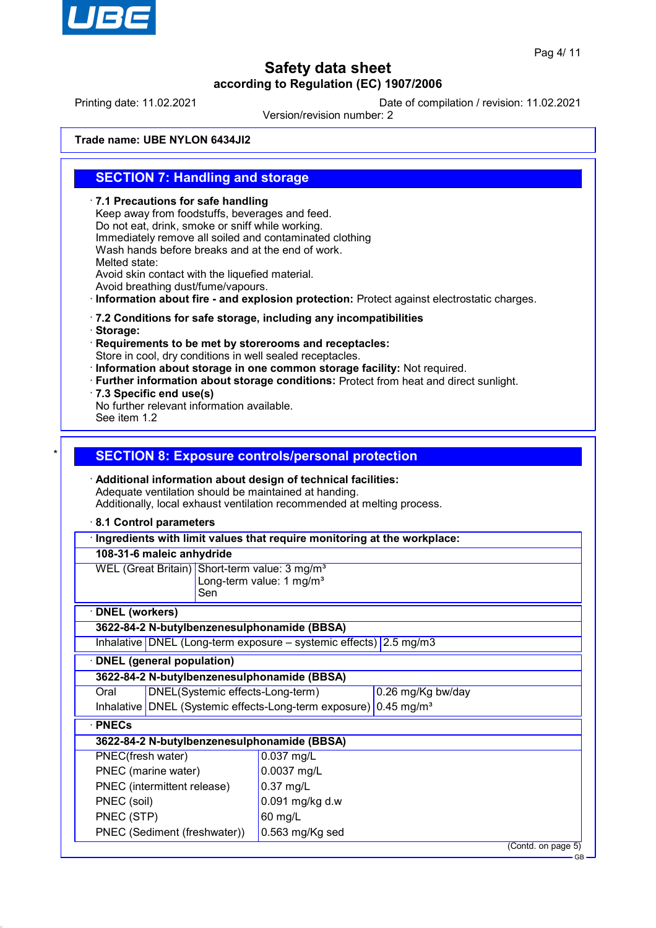

Printing date: 11.02.2021 Date of compilation / revision: 11.02.2021

Version/revision number: 2

**Trade name: UBE NYLON 6434JI2**

## **SECTION 7: Handling and storage**

· **7.1 Precautions for safe handling** Keep away from foodstuffs, beverages and feed. Do not eat, drink, smoke or sniff while working. Immediately remove all soiled and contaminated clothing Wash hands before breaks and at the end of work. Melted state: Avoid skin contact with the liquefied material. Avoid breathing dust/fume/vapours. · **Information about fire - and explosion protection:** Protect against electrostatic charges. · **7.2 Conditions for safe storage, including any incompatibilities** · **Storage:** · **Requirements to be met by storerooms and receptacles:** Store in cool, dry conditions in well sealed receptacles. · **Information about storage in one common storage facility:** Not required. · **Further information about storage conditions:** Protect from heat and direct sunlight. · **7.3 Specific end use(s)** No further relevant information available. See item 1.2 **SECTION 8: Exposure controls/personal protection** · **Additional information about design of technical facilities:** Adequate ventilation should be maintained at handing. Additionally, local exhaust ventilation recommended at melting process. · **8.1 Control parameters** · **Ingredients with limit values that require monitoring at the workplace: 108-31-6 maleic anhydride** WEL (Great Britain) Short-term value: 3 mg/m<sup>3</sup> Long-term value: 1 mg/m $3$ Sen · **DNEL (workers) 3622-84-2 N-butylbenzenesulphonamide (BBSA)** Inhalative DNEL (Long-term exposure – systemic effects) 2.5 mg/m3 · **DNEL (general population) 3622-84-2 N-butylbenzenesulphonamide (BBSA)** Oral DNEL(Systemic effects-Long-term) 0.26 mg/Kg bw/day Inhalative DNEL (Systemic effects-Long-term exposure) 0.45 mg/m<sup>3</sup> · **PNECs 3622-84-2 N-butylbenzenesulphonamide (BBSA)** PNEC(fresh water) 0.037 mg/L PNEC (marine water) 0.0037 mg/L PNEC (intermittent release) | 0.37 mg/L PNEC (soil)  $\vert$  0.091 mg/kg d.w PNEC (STP) 60 mg/L PNEC (Sediment (freshwater)) 0.563 mg/Kg sed

(Contd. on page 5)

GB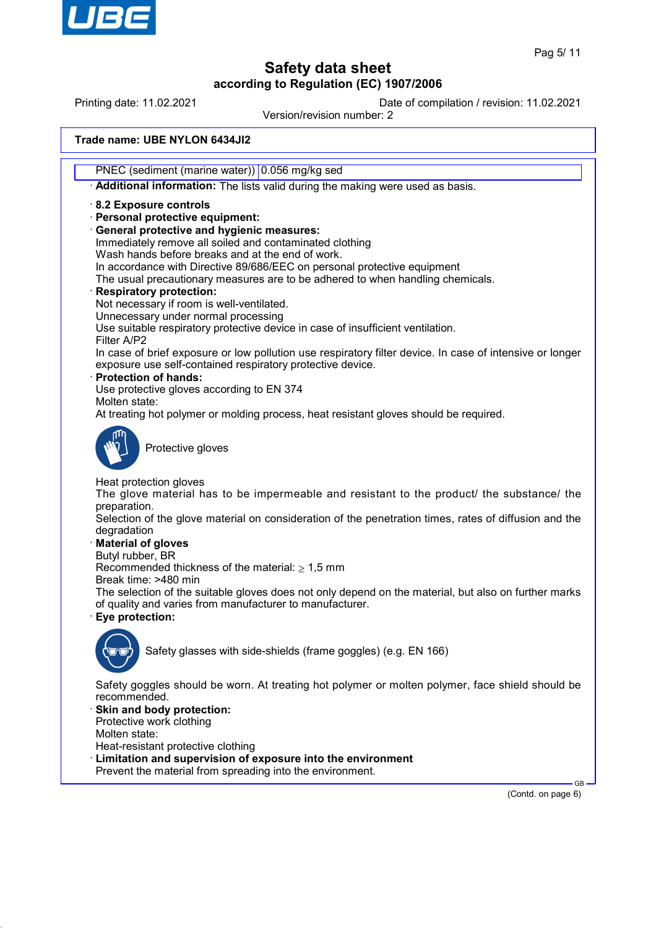

Printing date: 11.02.2021 Date of compilation / revision: 11.02.2021

Version/revision number: 2

## **Trade name: UBE NYLON 6434JI2**

PNEC (sediment (marine water)) 0.056 mg/kg sed

· **Additional information:** The lists valid during the making were used as basis.

### · **8.2 Exposure controls**

- · **Personal protective equipment:**
- · **General protective and hygienic measures:**
- Immediately remove all soiled and contaminated clothing
- Wash hands before breaks and at the end of work.
- In accordance with Directive 89/686/EEC on personal protective equipment

The usual precautionary measures are to be adhered to when handling chemicals.

#### · **Respiratory protection:**

- Not necessary if room is well-ventilated.
- Unnecessary under normal processing

Use suitable respiratory protective device in case of insufficient ventilation.

Filter A/P2 In case of brief exposure or low pollution use respiratory filter device. In case of intensive or longer exposure use self-contained respiratory protective device.

· **Protection of hands:**

Use protective gloves according to EN 374

Molten state:

At treating hot polymer or molding process, heat resistant gloves should be required.



Protective gloves

Heat protection gloves

The glove material has to be impermeable and resistant to the product/ the substance/ the preparation.

Selection of the glove material on consideration of the penetration times, rates of diffusion and the degradation

## · **Material of gloves**

Butyl rubber, BR

Recommended thickness of the material:  $\geq 1.5$  mm

Break time: >480 min

The selection of the suitable gloves does not only depend on the material, but also on further marks of quality and varies from manufacturer to manufacturer.

· **Eye protection:**



Safety glasses with side-shields (frame goggles) (e.g. EN 166)

Safety goggles should be worn. At treating hot polymer or molten polymer, face shield should be recommended.

Skin and body protection: Protective work clothing

Molten state:

Heat-resistant protective clothing

- Limitation and supervision of exposure into the environment
- Prevent the material from spreading into the environment.

(Contd. on page 6)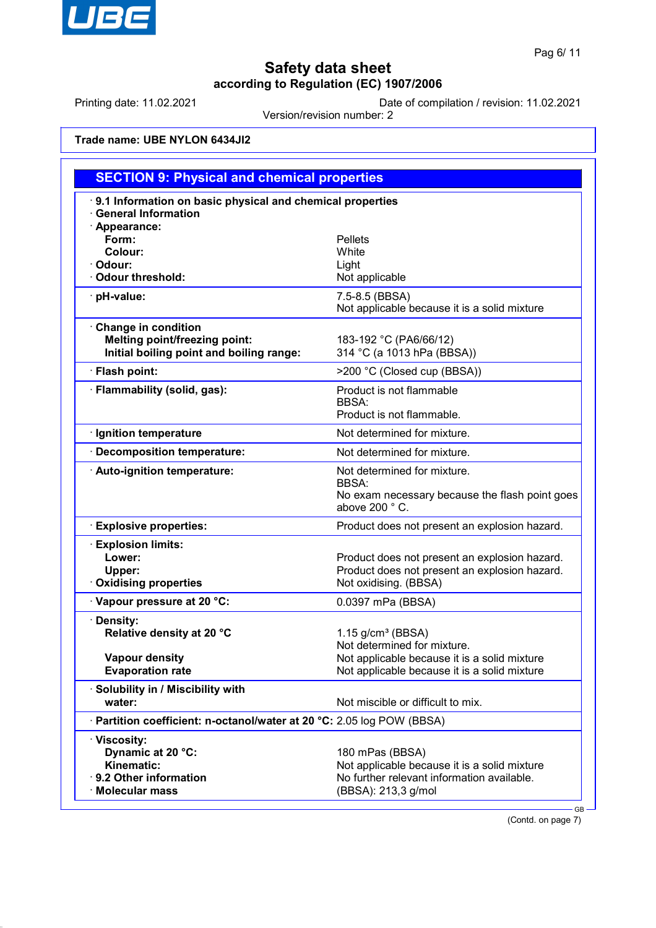

Printing date: 11.02.2021 Date of compilation / revision: 11.02.2021

Version/revision number: 2

**Trade name: UBE NYLON 6434JI2**

| <b>SECTION 9: Physical and chemical properties</b>                                                             |                                                                                                                                                                |  |
|----------------------------------------------------------------------------------------------------------------|----------------------------------------------------------------------------------------------------------------------------------------------------------------|--|
| 9.1 Information on basic physical and chemical properties<br><b>General Information</b>                        |                                                                                                                                                                |  |
| · Appearance:<br>Form:<br>Colour:<br>· Odour:<br>Odour threshold:                                              | <b>Pellets</b><br>White<br>Light<br>Not applicable                                                                                                             |  |
| · pH-value:                                                                                                    | 7.5-8.5 (BBSA)<br>Not applicable because it is a solid mixture                                                                                                 |  |
| <b>Change in condition</b><br><b>Melting point/freezing point:</b><br>Initial boiling point and boiling range: | 183-192 °C (PA6/66/12)<br>314 °C (a 1013 hPa (BBSA))                                                                                                           |  |
| · Flash point:                                                                                                 | >200 °C (Closed cup (BBSA))                                                                                                                                    |  |
| · Flammability (solid, gas):                                                                                   | Product is not flammable<br><b>BBSA:</b><br>Product is not flammable.                                                                                          |  |
| · Ignition temperature                                                                                         | Not determined for mixture.                                                                                                                                    |  |
| · Decomposition temperature:                                                                                   | Not determined for mixture.                                                                                                                                    |  |
| · Auto-ignition temperature:                                                                                   | Not determined for mixture.<br><b>BBSA:</b><br>No exam necessary because the flash point goes<br>above 200 °C.                                                 |  |
| <b>Explosive properties:</b>                                                                                   | Product does not present an explosion hazard.                                                                                                                  |  |
| <b>Explosion limits:</b><br>Lower:<br>Upper:<br><b>Oxidising properties</b>                                    | Product does not present an explosion hazard.<br>Product does not present an explosion hazard.<br>Not oxidising. (BBSA)                                        |  |
| Vapour pressure at 20 °C:                                                                                      | 0.0397 mPa (BBSA)                                                                                                                                              |  |
| · Density:<br>Relative density at 20 °C<br>Vapour density<br><b>Evaporation rate</b>                           | $1.15$ g/cm <sup>3</sup> (BBSA)<br>Not determined for mixture.<br>Not applicable because it is a solid mixture<br>Not applicable because it is a solid mixture |  |
| · Solubility in / Miscibility with<br>water:                                                                   | Not miscible or difficult to mix.                                                                                                                              |  |
| · Partition coefficient: n-octanol/water at 20 °C: 2.05 log POW (BBSA)                                         |                                                                                                                                                                |  |
| · Viscosity:<br>Dynamic at 20 °C:<br>Kinematic:<br>· 9.2 Other information<br>· Molecular mass                 | 180 mPas (BBSA)<br>Not applicable because it is a solid mixture<br>No further relevant information available.<br>(BBSA): 213,3 g/mol                           |  |

(Contd. on page 7)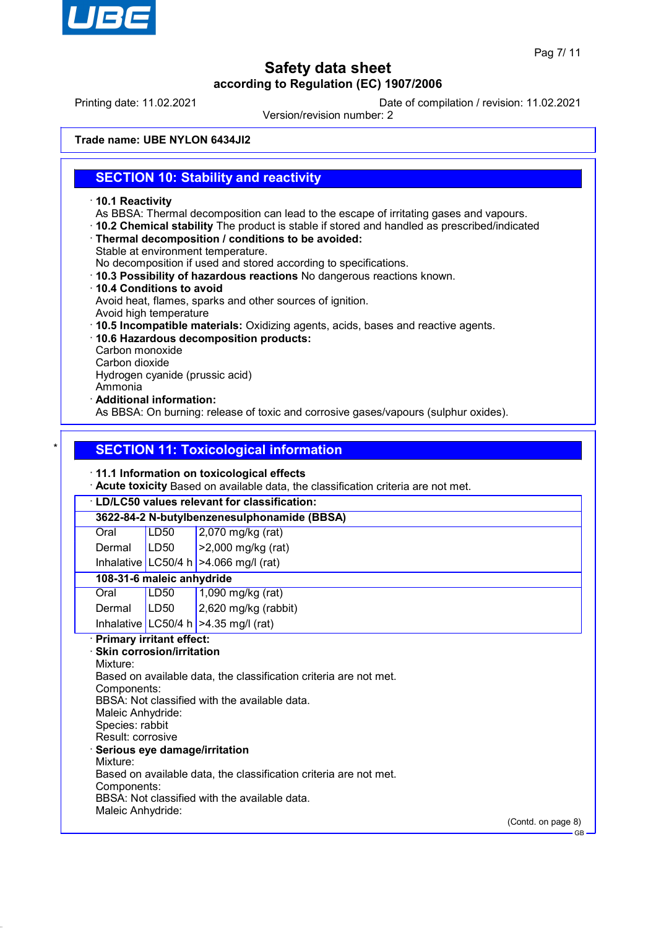

Printing date: 11.02.2021 Date of compilation / revision: 11.02.2021

Version/revision number: 2

**Trade name: UBE NYLON 6434JI2**

## **SECTION 10: Stability and reactivity**

- · **10.1 Reactivity**
- As BBSA: Thermal decomposition can lead to the escape of irritating gases and vapours.
- · **10.2 Chemical stability** The product is stable if stored and handled as prescribed/indicated
- · **Thermal decomposition / conditions to be avoided:**
- Stable at environment temperature.

No decomposition if used and stored according to specifications.

- · **10.3 Possibility of hazardous reactions** No dangerous reactions known.
- · **10.4 Conditions to avoid** Avoid heat, flames, sparks and other sources of ignition.
- Avoid high temperature
- · **10.5 Incompatible materials:** Oxidizing agents, acids, bases and reactive agents.
- · **10.6 Hazardous decomposition products:**
- Carbon monoxide
- Carbon dioxide

Hydrogen cyanide (prussic acid)

- Ammonia
- · **Additional information:**

As BBSA: On burning: release of toxic and corrosive gases/vapours (sulphur oxides).

## **SECTION 11: Toxicological information**

## · **11.1 Information on toxicological effects**

· **Acute toxicity** Based on available data, the classification criteria are not met.

# · **LD/LC50 values relevant for classification:**

**3622-84-2 N-butylbenzenesulphonamide (BBSA)**

| Oral   | LD50 | $2,070$ mg/kg (rat)        |
|--------|------|----------------------------|
| Dermal | LD50 | $\vert$ >2,000 mg/kg (rat) |

Inhalative  $|$  LC50/4 h  $|$  >4.066 mg/l (rat)

## **108-31-6 maleic anhydride**

| Oral            | LD50 | 1,090 mg/kg (rat)                      |
|-----------------|------|----------------------------------------|
| Dermal $ LD50 $ |      | $2,620$ mg/kg (rabbit)                 |
|                 |      | Inhalative LC50/4 h $>4.35$ mg/l (rat) |

## · **Primary irritant effect:**

· **Skin corrosion/irritation** Mixture: Based on available data, the classification criteria are not met. Components: BBSA: Not classified with the available data. Maleic Anhydride: Species: rabbit Result: corrosive · **Serious eye damage/irritation** Mixture: Based on available data, the classification criteria are not met. Components: BBSA: Not classified with the available data. Maleic Anhydride:

(Contd. on page 8)

GB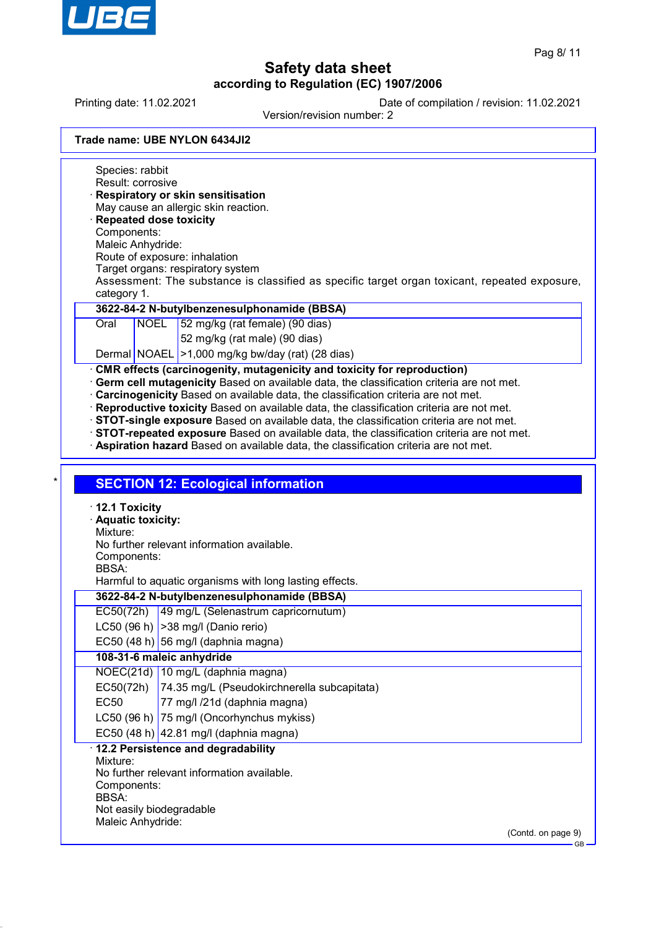

Printing date: 11.02.2021 Date of compilation / revision: 11.02.2021

Version/revision number: 2

|  |  | Trade name: UBE NYLON 6434JI2 |  |
|--|--|-------------------------------|--|
|--|--|-------------------------------|--|

Species: rabbit Result: corrosive · **Respiratory or skin sensitisation** May cause an allergic skin reaction. · **Repeated dose toxicity** Components: Maleic Anhydride: Route of exposure: inhalation Target organs: respiratory system Assessment: The substance is classified as specific target organ toxicant, repeated exposure, category 1. **3622-84-2 N-butylbenzenesulphonamide (BBSA)** Oral NOEL 52 mg/kg (rat female) (90 dias) 52 mg/kg (rat male) (90 dias) Dermal NOAEL >1,000 mg/kg bw/day (rat) (28 dias) · **CMR effects (carcinogenity, mutagenicity and toxicity for reproduction)** · **Germ cell mutagenicity** Based on available data, the classification criteria are not met. · **Carcinogenicity** Based on available data, the classification criteria are not met. · **Reproductive toxicity** Based on available data, the classification criteria are not met. · **STOT-single exposure** Based on available data, the classification criteria are not met. · **STOT-repeated exposure** Based on available data, the classification criteria are not met. · **Aspiration hazard** Based on available data, the classification criteria are not met. **SECTION 12: Ecological information** · **12.1 Toxicity** · **Aquatic toxicity:** Mixture: No further relevant information available. Components: BBSA: Harmful to aquatic organisms with long lasting effects. **3622-84-2 N-butylbenzenesulphonamide (BBSA)** EC50(72h) 49 mg/L (Selenastrum capricornutum) LC50 (96 h)  $|>$ 38 mg/l (Danio rerio) EC50 (48 h) 56 mg/l (daphnia magna) **108-31-6 maleic anhydride** NOEC(21d) 10 mg/L (daphnia magna) EC50(72h) 74.35 mg/L (Pseudokirchnerella subcapitata) EC50 77 mg/l /21d (daphnia magna) LC50 (96 h) 75 mg/l (Oncorhynchus mykiss) EC50 (48 h)  $|42.81 \text{ mg/}$  (daphnia magna) · **12.2 Persistence and degradability** Mixture: No further relevant information available. Components: BBSA: Not easily biodegradable Maleic Anhydride: (Contd. on page 9) GB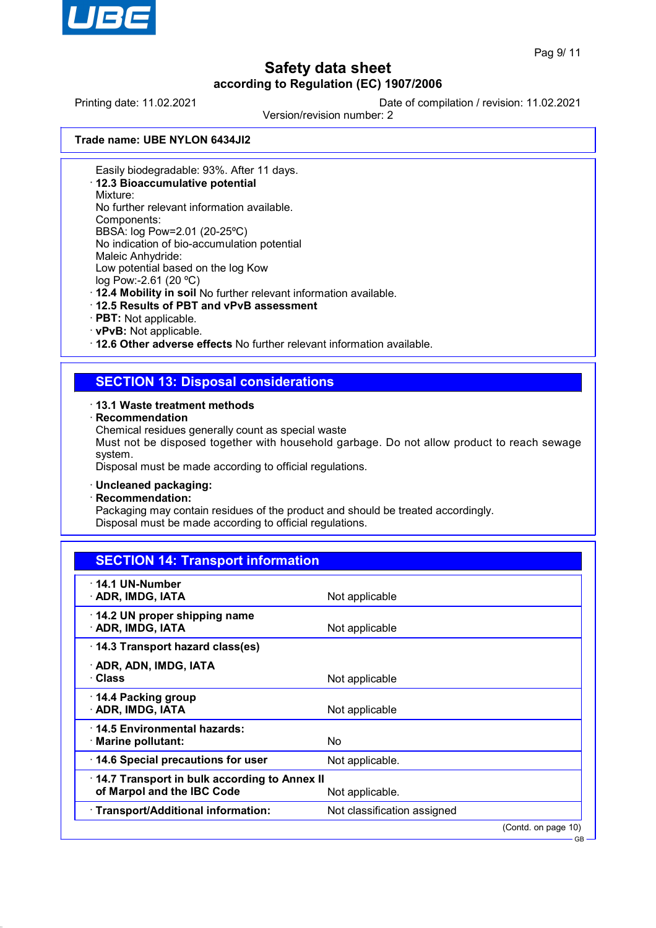

GB

# **Safety data sheet according to Regulation (EC) 1907/2006**

Printing date: 11.02.2021 Date of compilation / revision: 11.02.2021

Version/revision number: 2

**Trade name: UBE NYLON 6434JI2**

Easily biodegradable: 93%. After 11 days.

· **12.3 Bioaccumulative potential**

Mixture:

No further relevant information available.

Components:

BBSA: log Pow=2.01 (20-25ºC) No indication of bio-accumulation potential

Maleic Anhydride:

Low potential based on the log Kow

log Pow:-2.61 (20 ºC)

· **12.4 Mobility in soil** No further relevant information available.

- · **12.5 Results of PBT and vPvB assessment**
- · **PBT:** Not applicable.
- · **vPvB:** Not applicable.

· **12.6 Other adverse effects** No further relevant information available.

## **SECTION 13: Disposal considerations**

### · **13.1 Waste treatment methods**

· **Recommendation**

Chemical residues generally count as special waste

Must not be disposed together with household garbage. Do not allow product to reach sewage system.

Disposal must be made according to official regulations.

## · **Uncleaned packaging:**

· **Recommendation:**

Packaging may contain residues of the product and should be treated accordingly. Disposal must be made according to official regulations.

| Not applicable                                                  |  |
|-----------------------------------------------------------------|--|
| Not applicable                                                  |  |
|                                                                 |  |
| Not applicable                                                  |  |
| Not applicable                                                  |  |
| No                                                              |  |
| Not applicable.                                                 |  |
| 14.7 Transport in bulk according to Annex II<br>Not applicable. |  |
| Not classification assigned                                     |  |
|                                                                 |  |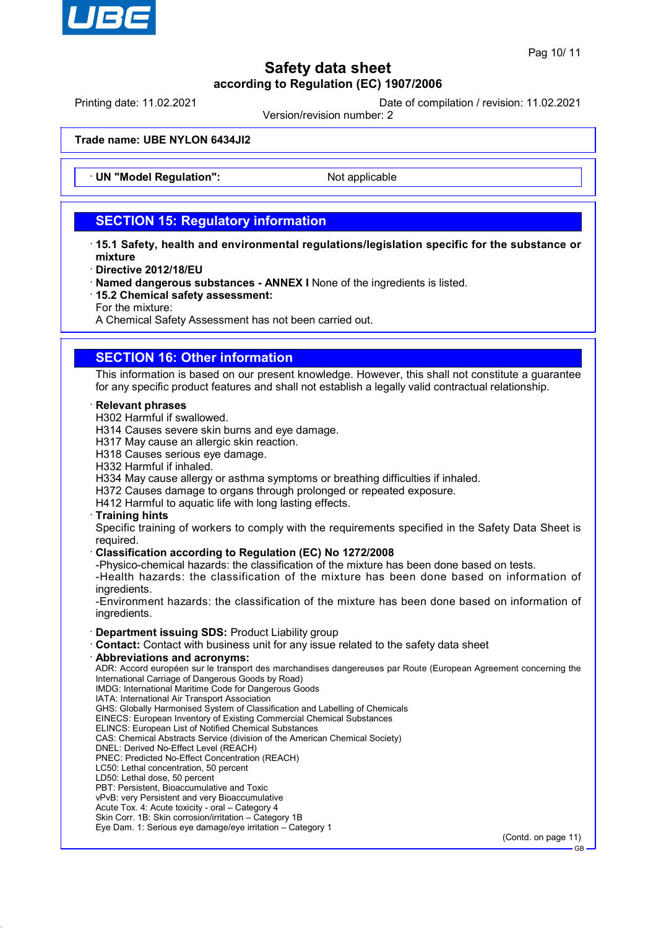

Printing date: 11.02.2021 Date of compilation / revision: 11.02.2021

Version/revision number: 2

**Trade name: UBE NYLON 6434JI2**

**UN "Model Regulation":** Not applicable

# **SECTION 15: Regulatory information**

- · **15.1 Safety, health and environmental regulations/legislation specific for the substance or mixture**
- · **Directive 2012/18/EU**
- · **Named dangerous substances ANNEX I** None of the ingredients is listed.
- · **15.2 Chemical safety assessment:**
- For the mixture:

A Chemical Safety Assessment has not been carried out.

## **SECTION 16: Other information**

This information is based on our present knowledge. However, this shall not constitute a guarantee for any specific product features and shall not establish a legally valid contractual relationship.

### · **Relevant phrases**

- H302 Harmful if swallowed.
- H314 Causes severe skin burns and eye damage.
- H317 May cause an allergic skin reaction.
- H318 Causes serious eye damage.
- H332 Harmful if inhaled.
- H334 May cause allergy or asthma symptoms or breathing difficulties if inhaled.
- H372 Causes damage to organs through prolonged or repeated exposure.
- H412 Harmful to aquatic life with long lasting effects.

### · **Training hints**

Specific training of workers to comply with the requirements specified in the Safety Data Sheet is required.

### · **Classification according to Regulation (EC) No 1272/2008**

-Physico-chemical hazards: the classification of the mixture has been done based on tests.

-Health hazards: the classification of the mixture has been done based on information of ingredients.

-Environment hazards: the classification of the mixture has been done based on information of ingredients.

### · **Department issuing SDS:** Product Liability group

- · **Contact:** Contact with business unit for any issue related to the safety data sheet
- · **Abbreviations and acronyms:**

ADR: Accord européen sur le transport des marchandises dangereuses par Route (European Agreement concerning the International Carriage of Dangerous Goods by Road) IMDG: International Maritime Code for Dangerous Goods

- IATA: International Air Transport Association
- GHS: Globally Harmonised System of Classification and Labelling of Chemicals
- EINECS: European Inventory of Existing Commercial Chemical Substances
- ELINCS: European List of Notified Chemical Substances
- CAS: Chemical Abstracts Service (division of the American Chemical Society)
- DNEL: Derived No-Effect Level (REACH)
- PNEC: Predicted No-Effect Concentration (REACH)
- LC50: Lethal concentration, 50 percent
- LD50: Lethal dose, 50 percent
- PBT: Persistent, Bioaccumulative and Toxic vPvB: very Persistent and very Bioaccumulative
- Acute Tox. 4: Acute toxicity oral Category 4
- Skin Corr. 1B: Skin corrosion/irritation Category 1B
- Eye Dam. 1: Serious eye damage/eye irritation Category 1

(Contd. on page 11)